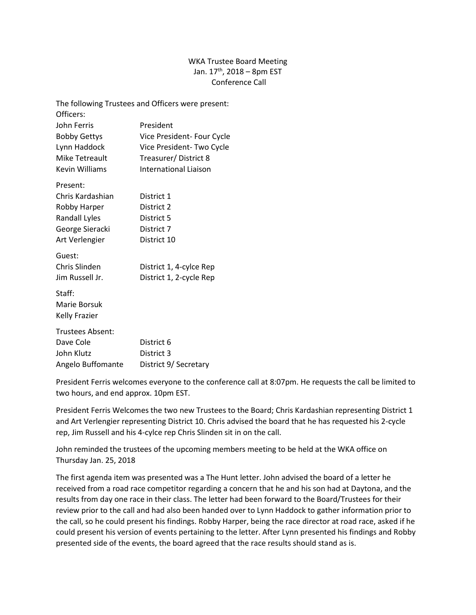## WKA Trustee Board Meeting Jan.  $17^{th}$ , 2018 – 8pm EST Conference Call

|                      | The following Trustees and Officers were present: |
|----------------------|---------------------------------------------------|
| Officers:            |                                                   |
| John Ferris          | President                                         |
| <b>Bobby Gettys</b>  | Vice President- Four Cycle                        |
| Lynn Haddock         | Vice President- Two Cycle                         |
| Mike Tetreault       | Treasurer/District 8                              |
| Kevin Williams       | International Liaison                             |
| Present:             |                                                   |
| Chris Kardashian     | District 1                                        |
| Robby Harper         | District 2                                        |
| Randall Lyles        | District 5                                        |
| George Sieracki      | District 7                                        |
| Art Verlengier       | District 10                                       |
| Guest:               |                                                   |
| Chris Slinden        | District 1, 4-cylce Rep                           |
| Jim Russell Jr.      | District 1, 2-cycle Rep                           |
| Staff:               |                                                   |
| Marie Borsuk         |                                                   |
| <b>Kelly Frazier</b> |                                                   |
| Trustees Absent:     |                                                   |
| Dave Cole            | District 6                                        |
| John Klutz           | District 3                                        |
| Angelo Buffomante    | District 9/ Secretary                             |

President Ferris welcomes everyone to the conference call at 8:07pm. He requests the call be limited to two hours, and end approx. 10pm EST.

President Ferris Welcomes the two new Trustees to the Board; Chris Kardashian representing District 1 and Art Verlengier representing District 10. Chris advised the board that he has requested his 2-cycle rep, Jim Russell and his 4-cylce rep Chris Slinden sit in on the call.

John reminded the trustees of the upcoming members meeting to be held at the WKA office on Thursday Jan. 25, 2018

The first agenda item was presented was a The Hunt letter. John advised the board of a letter he received from a road race competitor regarding a concern that he and his son had at Daytona, and the results from day one race in their class. The letter had been forward to the Board/Trustees for their review prior to the call and had also been handed over to Lynn Haddock to gather information prior to the call, so he could present his findings. Robby Harper, being the race director at road race, asked if he could present his version of events pertaining to the letter. After Lynn presented his findings and Robby presented side of the events, the board agreed that the race results should stand as is.